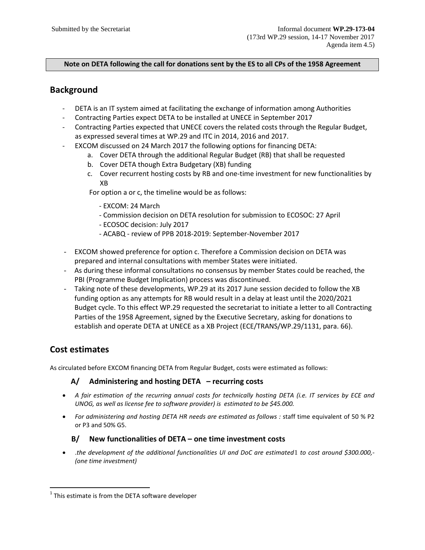#### **Note on DETA following the call for donations sent by the ES to all CPs of the 1958 Agreement**

# **Background**

- DETA is an IT system aimed at facilitating the exchange of information among Authorities
- Contracting Parties expect DETA to be installed at UNECE in September 2017
- Contracting Parties expected that UNECE covers the related costs through the Regular Budget, as expressed several times at WP.29 and ITC in 2014, 2016 and 2017.
	- EXCOM discussed on 24 March 2017 the following options for financing DETA:
		- a. Cover DETA through the additional Regular Budget (RB) that shall be requested
		- b. Cover DETA though Extra Budgetary (XB) funding
		- c. Cover recurrent hosting costs by RB and one-time investment for new functionalities by XB

For option a or c, the timeline would be as follows:

- EXCOM: 24 March
- Commission decision on DETA resolution for submission to ECOSOC: 27 April
- ECOSOC decision: July 2017
- ACABQ review of PPB 2018-2019: September-November 2017
- EXCOM showed preference for option c. Therefore a Commission decision on DETA was prepared and internal consultations with member States were initiated.
- As during these informal consultations no consensus by member States could be reached, the PBI (Programme Budget Implication) process was discontinued.
- Taking note of these developments, WP.29 at its 2017 June session decided to follow the XB funding option as any attempts for RB would result in a delay at least until the 2020/2021 Budget cycle. To this effect WP.29 requested the secretariat to initiate a letter to all Contracting Parties of the 1958 Agreement, signed by the Executive Secretary, asking for donations to establish and operate DETA at UNECE as a XB Project (ECE/TRANS/WP.29/1131, para. 66).

# **Cost estimates**

As circulated before EXCOM financing DETA from Regular Budget, costs were estimated as follows:

### **A/ Administering and hosting DETA – recurring costs**

- *A fair estimation of the recurring annual costs for technically hosting DETA (i.e. IT services by ECE and UNOG, as well as license fee to software provider) is estimated to be \$45.000.*
- *For administering and hosting DETA HR needs are estimated as follows :* staff time equivalent of 50 % P2 or P3 and 50% G5.

### **B/ New functionalities of DETA – one time investment costs**

• .*the development of the additional functionalities UI and DoC are estimated*[1](#page-0-0) *to cost around \$300.000,- (one time investment)*

<span id="page-0-0"></span> $1$  This estimate is from the DETA software developer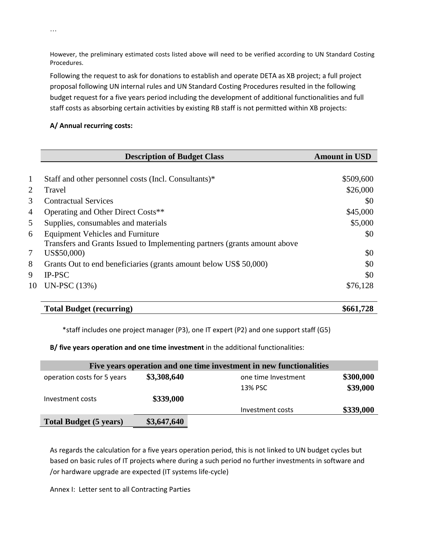However, the preliminary estimated costs listed above will need to be verified according to UN Standard Costing Procedures.

Following the request to ask for donations to establish and operate DETA as XB project; a full project proposal following UN internal rules and UN Standard Costing Procedures resulted in the following budget request for a five years period including the development of additional functionalities and full staff costs as absorbing certain activities by existing RB staff is not permitted within XB projects:

### **A/ Annual recurring costs:**

|              | <b>Description of Budget Class</b>                                        | <b>Amount in USD</b> |
|--------------|---------------------------------------------------------------------------|----------------------|
|              |                                                                           |                      |
| $\mathbf{1}$ | Staff and other personnel costs (Incl. Consultants)*                      | \$509,600            |
| 2            | Travel                                                                    | \$26,000             |
| 3            | <b>Contractual Services</b>                                               | \$0                  |
| 4            | Operating and Other Direct Costs**                                        | \$45,000             |
| 5            | Supplies, consumables and materials                                       | \$5,000              |
| 6            | <b>Equipment Vehicles and Furniture</b>                                   | \$0                  |
|              | Transfers and Grants Issued to Implementing partners (grants amount above |                      |
| 7            | US\$50,000)                                                               | \$0                  |
| 8            | Grants Out to end beneficiaries (grants amount below US\$ 50,000)         | \$0                  |
| 9            | <b>IP-PSC</b>                                                             | \$0                  |
| 10           | <b>UN-PSC</b> (13%)                                                       | \$76,128             |

### **Total Budget (recurring) \$661,728**

\*staff includes one project manager (P3), one IT expert (P2) and one support staff (G5)

## **B/ five years operation and one time investment** in the additional functionalities:

| Five years operation and one time investment in new functionalities |             |                     |           |  |  |
|---------------------------------------------------------------------|-------------|---------------------|-----------|--|--|
| operation costs for 5 years                                         | \$3,308,640 | one time Investment | \$300,000 |  |  |
|                                                                     |             | 13% PSC             | \$39,000  |  |  |
| Investment costs                                                    | \$339,000   |                     |           |  |  |
|                                                                     |             | Investment costs    | \$339,000 |  |  |
| <b>Total Budget (5 years)</b>                                       | \$3,647,640 |                     |           |  |  |

As regards the calculation for a five years operation period, this is not linked to UN budget cycles but based on basic rules of IT projects where during a such period no further investments in software and /or hardware upgrade are expected (IT systems life-cycle)

Annex I: Letter sent to all Contracting Parties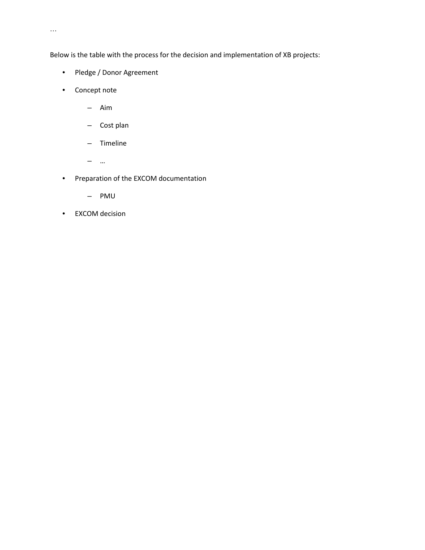Below is the table with the process for the decision and implementation of XB projects:

- Pledge / Donor Agreement
- Concept note
	- Aim
	- Cost plan
	- Timeline
	- …
- Preparation of the EXCOM documentation
	- PMU
- EXCOM decision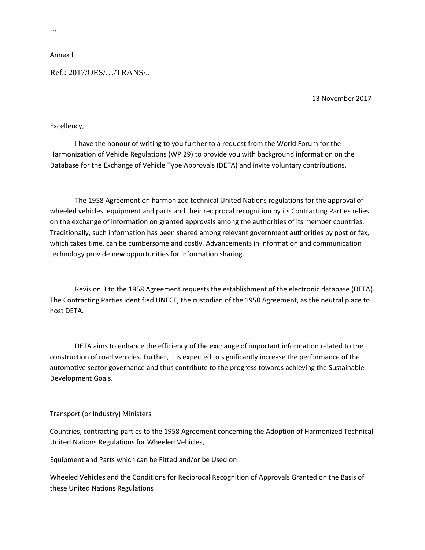Annex I

Ref.: 2017/OES/…/TRANS/..

13 November 2017

#### Excellency,

I have the honour of writing to you further to a request from the World Forum for the Harmonization of Vehicle Regulations (WP.29) to provide you with background information on the Database for the Exchange of Vehicle Type Approvals (DETA) and invite voluntary contributions.

The 1958 Agreement on harmonized technical United Nations regulations for the approval of wheeled vehicles, equipment and parts and their reciprocal recognition by its Contracting Parties relies on the exchange of information on granted approvals among the authorities of its member countries. Traditionally, such information has been shared among relevant government authorities by post or fax, which takes time, can be cumbersome and costly. Advancements in information and communication technology provide new opportunities for information sharing.

Revision 3 to the 1958 Agreement requests the establishment of the electronic database (DETA). The Contracting Parties identified UNECE, the custodian of the 1958 Agreement, as the neutral place to host DETA.

DETA aims to enhance the efficiency of the exchange of important information related to the construction of road vehicles. Further, it is expected to significantly increase the performance of the automotive sector governance and thus contribute to the progress towards achieving the Sustainable Development Goals.

#### Transport (or Industry) Ministers

Countries, contracting parties to the 1958 Agreement concerning the Adoption of Harmonized Technical United Nations Regulations for Wheeled Vehicles,

Equipment and Parts which can be Fitted and/or be Used on

Wheeled Vehicles and the Conditions for Reciprocal Recognition of Approvals Granted on the Basis of these United Nations Regulations